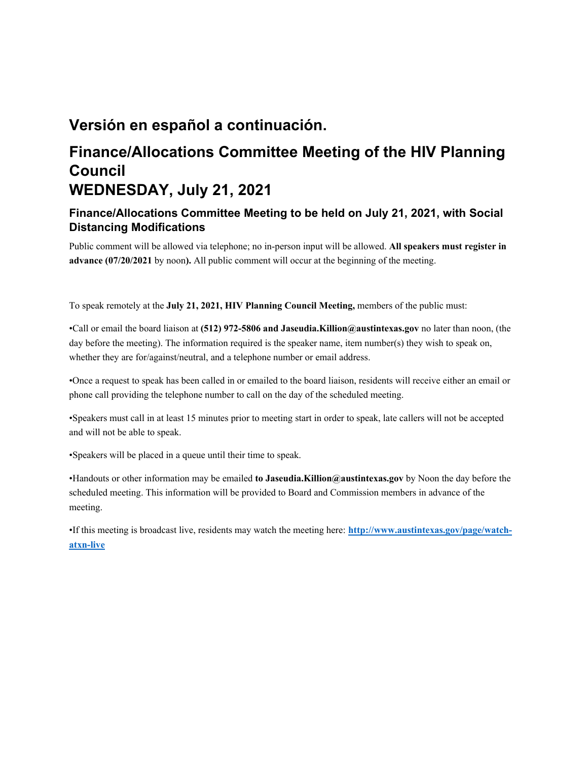## **Versión en español a continuación.**

## **Finance/Allocations Committee Meeting of the HIV Planning Council WEDNESDAY, July 21, 2021**

## **Finance/Allocations Committee Meeting to be held on July 21, 2021, with Social Distancing Modifications**

Public comment will be allowed via telephone; no in-person input will be allowed. **All speakers must register in advance (07/20/2021** by noon**).** All public comment will occur at the beginning of the meeting.

To speak remotely at the **July 21, 2021, HIV Planning Council Meeting,** members of the public must:

•Call or email the board liaison at **(512) 972-5806 and Jaseudia.Killion@austintexas.gov** no later than noon, (the day before the meeting). The information required is the speaker name, item number(s) they wish to speak on, whether they are for/against/neutral, and a telephone number or email address.

•Once a request to speak has been called in or emailed to the board liaison, residents will receive either an email or phone call providing the telephone number to call on the day of the scheduled meeting.

•Speakers must call in at least 15 minutes prior to meeting start in order to speak, late callers will not be accepted and will not be able to speak.

•Speakers will be placed in a queue until their time to speak.

•Handouts or other information may be emailed **to Jaseudia.Killion@austintexas.gov** by Noon the day before the scheduled meeting. This information will be provided to Board and Commission members in advance of the meeting.

•If this meeting is broadcast live, residents may watch the meeting here: **http://www.austintexas.gov/page/watchatxn-live**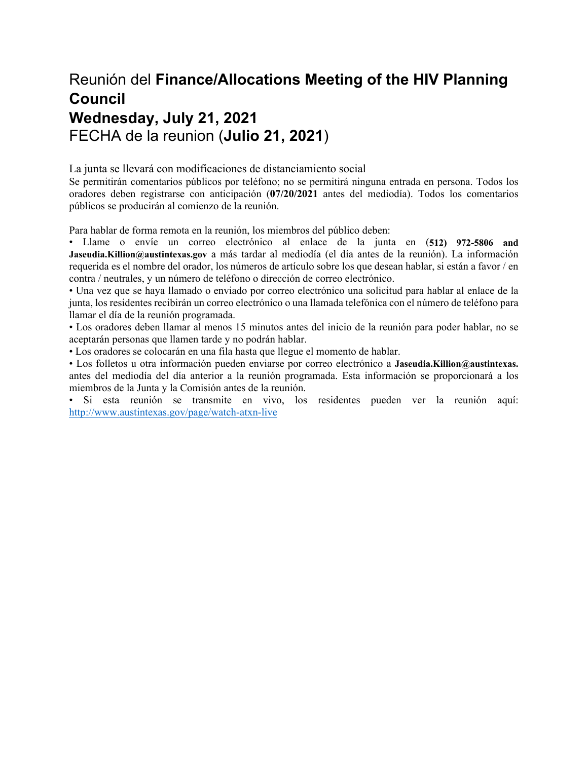# Reunión del **Finance/Allocations Meeting of the HIV Planning Council Wednesday, July 21, 2021**  FECHA de la reunion (**Julio 21, 2021**)

La junta se llevará con modificaciones de distanciamiento social

Se permitirán comentarios públicos por teléfono; no se permitirá ninguna entrada en persona. Todos los oradores deben registrarse con anticipación (**07/20/2021** antes del mediodía). Todos los comentarios públicos se producirán al comienzo de la reunión.

Para hablar de forma remota en la reunión, los miembros del público deben:

• Llame o envíe un correo electrónico al enlace de la junta en (**512) 972-5806 and Jaseudia.Killion@austintexas.gov** a más tardar al mediodía (el día antes de la reunión). La información requerida es el nombre del orador, los números de artículo sobre los que desean hablar, si están a favor / en contra / neutrales, y un número de teléfono o dirección de correo electrónico.

• Una vez que se haya llamado o enviado por correo electrónico una solicitud para hablar al enlace de la junta, los residentes recibirán un correo electrónico o una llamada telefónica con el número de teléfono para llamar el día de la reunión programada.

• Los oradores deben llamar al menos 15 minutos antes del inicio de la reunión para poder hablar, no se aceptarán personas que llamen tarde y no podrán hablar.

• Los oradores se colocarán en una fila hasta que llegue el momento de hablar.

• Los folletos u otra información pueden enviarse por correo electrónico a **Jaseudia.Killion@austintexas.** antes del mediodía del día anterior a la reunión programada. Esta información se proporcionará a los miembros de la Junta y la Comisión antes de la reunión.

• Si esta reunión se transmite en vivo, los residentes pueden ver la reunión aquí: http://www.austintexas.gov/page/watch-atxn-live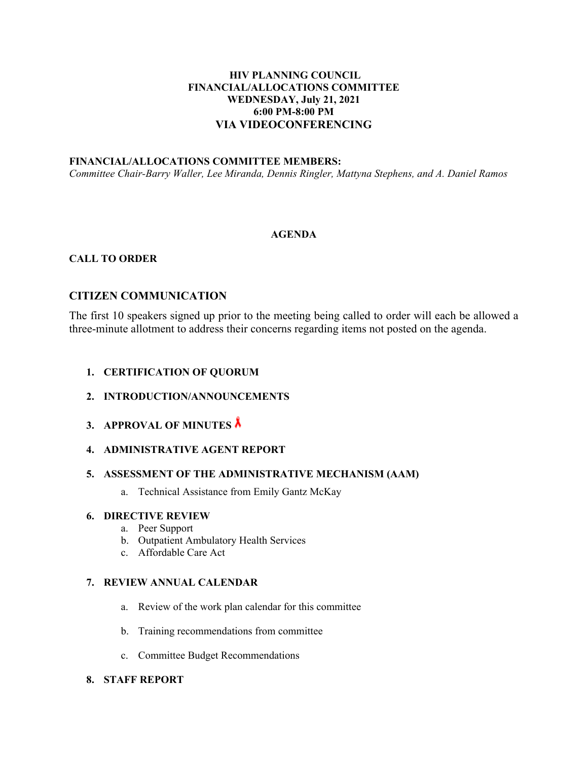## **HIV PLANNING COUNCIL FINANCIAL/ALLOCATIONS COMMITTEE WEDNESDAY, July 21, 2021 6:00 PM-8:00 PM VIA VIDEOCONFERENCING**

### **FINANCIAL/ALLOCATIONS COMMITTEE MEMBERS:**

*Committee Chair-Barry Waller, Lee Miranda, Dennis Ringler, Mattyna Stephens, and A. Daniel Ramos* 

### **AGENDA**

### **CALL TO ORDER**

## **CITIZEN COMMUNICATION**

The first 10 speakers signed up prior to the meeting being called to order will each be allowed a three-minute allotment to address their concerns regarding items not posted on the agenda.

#### **1. CERTIFICATION OF QUORUM**

## **2. INTRODUCTION/ANNOUNCEMENTS**

**3. APPROVAL OF MINUTES** 

## **4. ADMINISTRATIVE AGENT REPORT**

#### **5. ASSESSMENT OF THE ADMINISTRATIVE MECHANISM (AAM)**

a. Technical Assistance from Emily Gantz McKay

#### **6. DIRECTIVE REVIEW**

- a. Peer Support
- b. Outpatient Ambulatory Health Services
- c. Affordable Care Act

## **7. REVIEW ANNUAL CALENDAR**

- a. Review of the work plan calendar for this committee
- b. Training recommendations from committee
- c. Committee Budget Recommendations
- **8. STAFF REPORT**